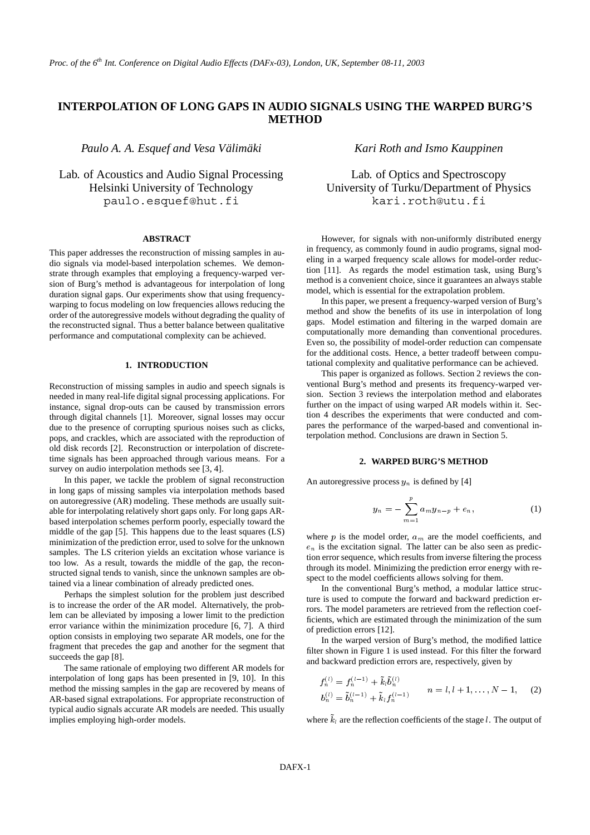# **INTERPOLATION OF LONG GAPS IN AUDIO SIGNALS USING THE WARPED BURG'S METHOD**

*Paulo A. A. Esquef and Vesa Välimäki* 

Lab. of Acoustics and Audio Signal Processing Helsinki University of Technology paulo.esquef@hut.fi

## **ABSTRACT**

This paper addresses the reconstruction of missing samples in audio signals via model-based interpolation schemes. We demonstrate through examples that employing a frequency-warped version of Burg's method is advantageous for interpolation of long duration signal gaps. Our experiments show that using frequencywarping to focus modeling on low frequencies allows reducing the order of the autoregressive models without degrading the quality of the reconstructed signal. Thus a better balance between qualitative performance and computational complexity can be achieved.

# **1. INTRODUCTION**

Reconstruction of missing samples in audio and speech signals is needed in many real-life digital signal processing applications. For instance, signal drop-outs can be caused by transmission errors through digital channels [1]. Moreover, signal losses may occur due to the presence of corrupting spurious noises such as clicks, pops, and crackles, which are associated with the reproduction of old disk records [2]. Reconstruction or interpolation of discretetime signals has been approached through various means. For a survey on audio interpolation methods see [3, 4].

In this paper, we tackle the problem of signal reconstruction in long gaps of missing samples via interpolation methods based on autoregressive (AR) modeling. These methods are usually suitable for interpolating relatively short gaps only. For long gaps ARbased interpolation schemes perform poorly, especially toward the middle of the gap [5]. This happens due to the least squares (LS) minimization of the prediction error, used to solve for the unknown samples. The LS criterion yields an excitation whose variance is too low. As a result, towards the middle of the gap, the reconstructed signal tends to vanish, since the unknown samples are obtained via a linear combination of already predicted ones.

Perhaps the simplest solution for the problem just described is to increase the order of the AR model. Alternatively, the problem can be alleviated by imposing a lower limit to the prediction error variance within the minimization procedure [6, 7]. A third option consists in employing two separate AR models, one for the fragment that precedes the gap and another for the segment that succeeds the gap [8].

The same rationale of employing two different AR models for interpolation of long gaps has been presented in [9, 10]. In this method the missing samples in the gap are recovered by means of AR-based signal extrapolations. For appropriate reconstruction of typical audio signals accurate AR models are needed. This usually implies employing high-order models.

## *Kari Roth and Ismo Kauppinen*

Lab. of Optics and Spectroscopy University of Turku/Department of Physics kari.roth@utu.fi

However, for signals with non-uniformly distributed energy in frequency, as commonly found in audio programs, signal modeling in a warped frequency scale allows for model-order reduction [11]. As regards the model estimation task, using Burg's method is a convenient choice, since it guarantees an always stable model, which is essential for the extrapolation problem.

In this paper, we present a frequency-warped version of Burg's method and show the benefits of its use in interpolation of long gaps. Model estimation and filtering in the warped domain are computationally more demanding than conventional procedures. Even so, the possibility of model-order reduction can compensate for the additional costs. Hence, a better tradeoff between computational complexity and qualitative performance can be achieved.

This paper is organized as follows. Section 2 reviews the conventional Burg's method and presents its frequency-warped version. Section 3 reviews the interpolation method and elaborates further on the impact of using warped AR models within it. Section 4 describes the experiments that were conducted and compares the performance of the warped-based and conventional interpolation method. Conclusions are drawn in Section 5.

## **2. WARPED BURG'S METHOD**

An autoregressive process  $y_n$  is defined by [4]

$$
y_n = -\sum_{m=1}^p a_m y_{n-p} + e_n, \qquad (1)
$$

where  $p$  is the model order,  $a_m$  are the model coefficients, and  $e_n$  is the excitation signal. The latter can be also seen as prediction error sequence, which results from inverse filtering the process through its model. Minimizing the prediction error energy with respect to the model coefficients allows solving for them.

In the conventional Burg's method, a modular lattice structure is used to compute the forward and backward prediction errors. The model parameters are retrieved from the reflection coefficients, which are estimated through the minimization of the sum of prediction errors [12].

In the warped version of Burg's method, the modified lattice filter shown in Figure 1 is used instead. For this filter the forward and backward prediction errors are, respectively, given by

$$
f_n^{(l)} = f_n^{(l-1)} + \tilde{k}_l \tilde{b}_n^{(l)} b_n^{(l)} = \tilde{b}_n^{(l-1)} + \tilde{k}_l f_n^{(l-1)} \qquad n = l, l+1, \dots, N-1,
$$
 (2)

where  $k_l$  are the reflection coefficients of the stage l. The output of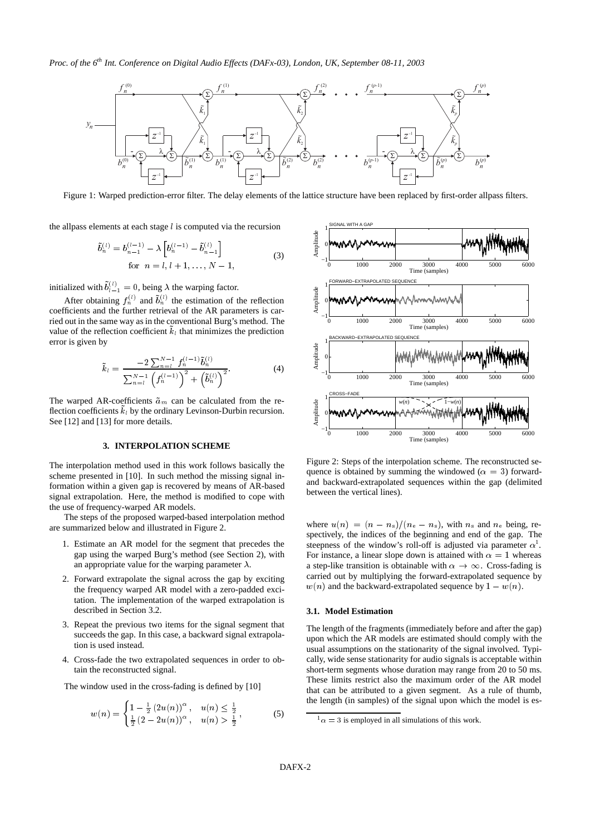

Figure 1: Warped prediction-error filter. The delay elements of the lattice structure have been replaced by first-order allpass filters.

the allpass elements at each stage  $l$  is computed via the recursion

$$
\tilde{b}_n^{(l)} = b_{n-1}^{(l-1)} - \lambda \left[ b_n^{(l-1)} - \tilde{b}_{n-1}^{(l)} \right]
$$
  
for  $n = l, l + 1, ..., N - 1$ , (3)

initialized with  $b_{i-1}^{(i)} = 0$ , being  $\lambda$  the warping factor.

After obtaining  $f_n^{(l)}$  and  $\tilde{b}_n^{(l)}$  the estimation of the reflection coefficients and the further retrieval of the AR parameters is carried out in the same way as in the conventional Burg's method. The value of the reflection coefficient  $k_l$  that minimizes the prediction error is given by

$$
\tilde{k}_{l} = \frac{-2\sum_{n=1}^{N-1} f_{n}^{(l-1)} \tilde{b}_{n}^{(l)}}{\sum_{n=1}^{N-1} \left(f_{n}^{(l-1)}\right)^{2} + \left(\tilde{b}_{n}^{(l)}\right)^{2}}.
$$
\n(4)

The warped AR-coefficients  $\tilde{a}_m$  can be calculated from the reflection coefficients  $k_l$  by the ordinary Levinson-Durbin recursion. See [12] and [13] for more details.

## **3. INTERPOLATION SCHEME**

The interpolation method used in this work follows basically the scheme presented in [10]. In such method the missing signal information within a given gap is recovered by means of AR-based signal extrapolation. Here, the method is modified to cope with the use of frequency-warped AR models.

The steps of the proposed warped-based interpolation method are summarized below and illustrated in Figure 2.

- 1. Estimate an AR model for the segment that precedes the gap using the warped Burg's method (see Section 2), with an appropriate value for the warping parameter  $\lambda$ .
- 2. Forward extrapolate the signal across the gap by exciting the frequency warped AR model with a zero-padded excitation. The implementation of the warped extrapolation is described in Section 3.2.
- 3. Repeat the previous two items for the signal segment that succeeds the gap. In this case, a backward signal extrapolation is used instead.
- 4. Cross-fade the two extrapolated sequences in order to obtain the reconstructed signal.

The window used in the cross-fading is defined by [10]

$$
w(n) = \begin{cases} 1 - \frac{1}{2} (2u(n))^{\alpha}, & u(n) \le \frac{1}{2} \\ \frac{1}{2} (2 - 2u(n))^{\alpha}, & u(n) > \frac{1}{2} \end{cases},
$$
(5)



Figure 2: Steps of the interpolation scheme. The reconstructed sequence is obtained by summing the windowed ( $\alpha = 3$ ) forwardand backward-extrapolated sequences within the gap (delimited between the vertical lines).

where  $u(n) = (n - n_s)/(n_e - n_s)$ , with  $n_s$  and  $n_e$  being, respectively, the indices of the beginning and end of the gap. The steepness of the window's roll-off is adjusted via parameter  $\alpha^1$ . For instance, a linear slope down is attained with  $\alpha = 1$  whereas a step-like transition is obtainable with  $\alpha \to \infty$ . Cross-fading is carried out by multiplying the forward-extrapolated sequence by  $w(n)$  and the backward-extrapolated sequence by  $1 - w(n)$ .

## **3.1. Model Estimation**

The length of the fragments (immediately before and after the gap) upon which the AR models are estimated should comply with the usual assumptions on the stationarity of the signal involved. Typically, wide sense stationarity for audio signals is acceptable within short-term segments whose duration may range from 20 to 50 ms. These limits restrict also the maximum order of the AR model that can be attributed to a given segment. As a rule of thumb, the length (in samples) of the signal upon which the model is es-

 $\alpha = 3$  is employed in all simulations of this work.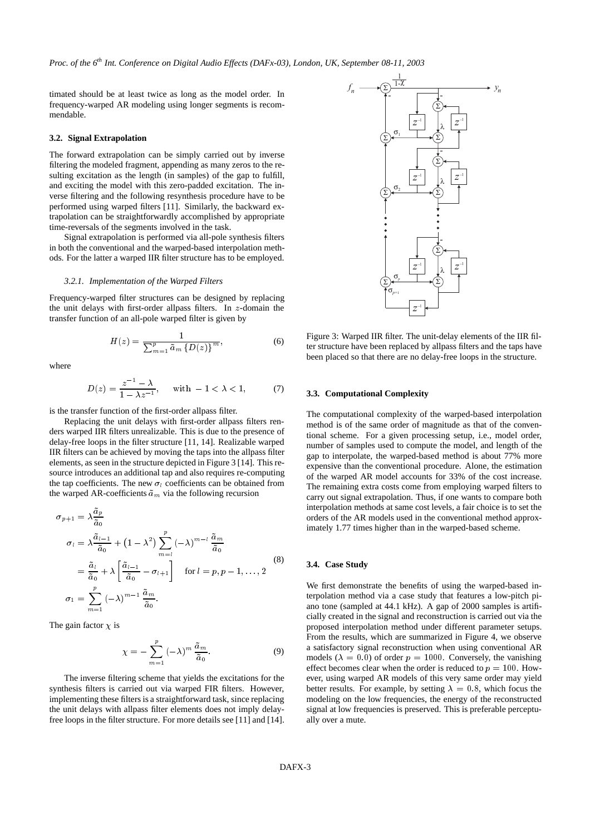timated should be at least twice as long as the model order. In frequency-warped AR modeling using longer segments is recommendable.

#### **3.2. Signal Extrapolation**

The forward extrapolation can be simply carried out by inverse filtering the modeled fragment, appending as many zeros to the resulting excitation as the length (in samples) of the gap to fulfill, and exciting the model with this zero-padded excitation. The inverse filtering and the following resynthesis procedure have to be performed using warped filters [11]. Similarly, the backward extrapolation can be straightforwardly accomplished by appropriate time-reversals of the segments involved in the task.

Signal extrapolation is performed via all-pole synthesis filters in both the conventional and the warped-based interpolation methods. For the latter a warped IIR filter structure has to be employed.

#### *3.2.1. Implementation of the Warped Filters*

Frequency-warped filter structures can be designed by replacing the unit delays with first-order allpass filters. In  $z$ -domain the transfer function of an all-pole warped filter is given by

$$
H(z) = \frac{1}{\sum_{m=1}^{p} \tilde{a}_m \left\{ D(z) \right\}^m},\tag{6}
$$

where

$$
D(z) = \frac{z^{-1} - \lambda}{1 - \lambda z^{-1}}, \quad \text{with } -1 < \lambda < 1,
$$
 (7)

is the transfer function of the first-order allpass filter.

Replacing the unit delays with first-order allpass filters renders warped IIR filters unrealizable. This is due to the presence of delay-free loops in the filter structure [11, 14]. Realizable warped IIR filters can be achieved by moving the taps into the allpass filter elements, as seen in the structure depicted in Figure 3 [14]. This resource introduces an additional tap and also requires re-computing the tap coefficients. The new  $\sigma_l$  coefficients can be obtained from the warped AR-coefficients  $\tilde{a}_m$  via the following recursion

$$
\sigma_{p+1} = \lambda \frac{\tilde{a}_p}{\tilde{a}_0}
$$
\n
$$
\sigma_l = \lambda \frac{\tilde{a}_{l-1}}{\tilde{a}_0} + (1 - \lambda^2) \sum_{m=l}^p (-\lambda)^{m-l} \frac{\tilde{a}_m}{\tilde{a}_0}
$$
\n
$$
= \frac{\tilde{a}_l}{\tilde{a}_0} + \lambda \left[ \frac{\tilde{a}_{l-1}}{\tilde{a}_0} - \sigma_{l+1} \right] \quad \text{for } l = p, p-1, \dots, 2
$$
\n
$$
\sigma_1 = \sum_{m=1}^p (-\lambda)^{m-1} \frac{\tilde{a}_m}{\tilde{a}_0}.
$$
\n(8)

The gain factor  $\chi$  is

$$
\chi = -\sum_{m=1}^{p} (-\lambda)^m \frac{\tilde{a}_m}{\tilde{a}_0}.
$$
 (9)

The inverse filtering scheme that yields the excitations for the synthesis filters is carried out via warped FIR filters. However, implementing these filters is a straightforward task, since replacing the unit delays with allpass filter elements does not imply delayfree loops in the filter structure. For more details see [11] and [14].



Figure 3: Warped IIR filter. The unit-delay elements of the IIR filter structure have been replaced by allpass filters and the taps have been placed so that there are no delay-free loops in the structure.

#### **3.3. Computational Complexity**

The computational complexity of the warped-based interpolation method is of the same order of magnitude as that of the conventional scheme. For a given processing setup, i.e., model order, number of samples used to compute the model, and length of the gap to interpolate, the warped-based method is about 77% more expensive than the conventional procedure. Alone, the estimation of the warped AR model accounts for 33% of the cost increase. The remaining extra costs come from employing warped filters to carry out signal extrapolation. Thus, if one wants to compare both interpolation methods at same cost levels, a fair choice is to set the orders of the AR models used in the conventional method approximately 1.77 times higher than in the warped-based scheme.

#### **3.4. Case Study**

We first demonstrate the benefits of using the warped-based interpolation method via a case study that features a low-pitch piano tone (sampled at 44.1 kHz). A gap of 2000 samples is artificially created in the signal and reconstruction is carried out via the proposed interpolation method under different parameter setups. From the results, which are summarized in Figure 4, we observe a satisfactory signal reconstruction when using conventional AR models ( $\lambda = 0.0$ ) of order  $p = 1000$ . Conversely, the vanishing effect becomes clear when the order is reduced to  $p = 100$ . However, using warped AR models of this very same order may yield better results. For example, by setting  $\lambda = 0.8$ , which focus the modeling on the low frequencies, the energy of the reconstructed signal at low frequencies is preserved. This is preferable perceptually over a mute.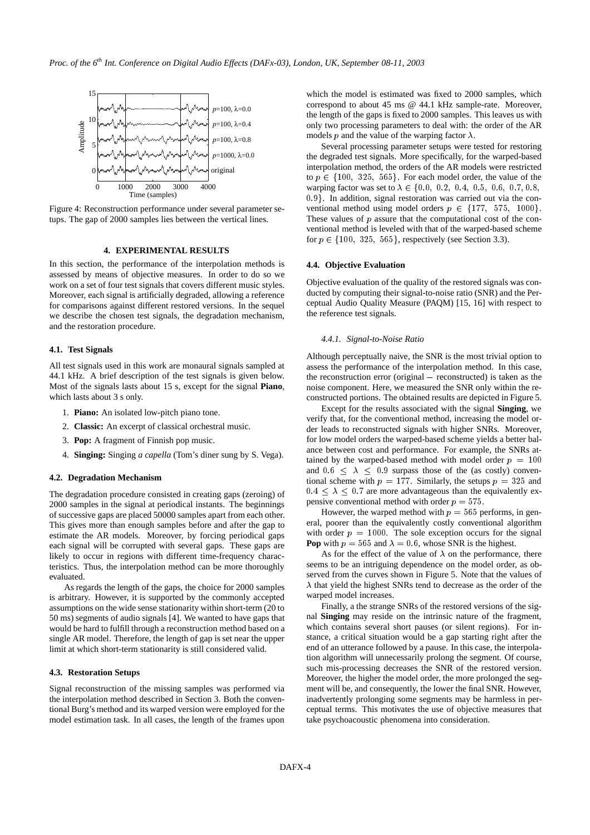

Figure 4: Reconstruction performance under several parameter setups. The gap of 2000 samples lies between the vertical lines.

#### **4. EXPERIMENTAL RESULTS**

In this section, the performance of the interpolation methods is assessed by means of objective measures. In order to do so we work on a set of four test signals that covers different music styles. Moreover, each signal is artificially degraded, allowing a reference for comparisons against different restored versions. In the sequel we describe the chosen test signals, the degradation mechanism, and the restoration procedure.

#### **4.1. Test Signals**

All test signals used in this work are monaural signals sampled at 44.1 kHz. A brief description of the test signals is given below. Most of the signals lasts about 15 s, except for the signal **Piano**, which lasts about 3 s only.

- 1. **Piano:** An isolated low-pitch piano tone.
- 2. **Classic:** An excerpt of classical orchestral music.
- 3. **Pop:** A fragment of Finnish pop music.
- 4. **Singing:** Singing *a capella* (Tom's diner sung by S. Vega).

#### **4.2. Degradation Mechanism**

The degradation procedure consisted in creating gaps (zeroing) of 2000 samples in the signal at periodical instants. The beginnings of successive gaps are placed 50000 samples apart from each other. This gives more than enough samples before and after the gap to estimate the AR models. Moreover, by forcing periodical gaps each signal will be corrupted with several gaps. These gaps are likely to occur in regions with different time-frequency characteristics. Thus, the interpolation method can be more thoroughly evaluated.

As regards the length of the gaps, the choice for 2000 samples is arbitrary. However, it is supported by the commonly accepted assumptions on the wide sense stationarity within short-term (20 to 50 ms) segments of audio signals [4]. We wanted to have gaps that would be hard to fulfill through a reconstruction method based on a single AR model. Therefore, the length of gap is set near the upper limit at which short-term stationarity is still considered valid.

#### **4.3. Restoration Setups**

Signal reconstruction of the missing samples was performed via the interpolation method described in Section 3. Both the conventional Burg's method and its warped version were employed for the model estimation task. In all cases, the length of the frames upon

which the model is estimated was fixed to 2000 samples, which correspond to about 45 ms @ 44.1 kHz sample-rate. Moreover, the length of the gaps is fixed to 2000 samples. This leaves us with only two processing parameters to deal with: the order of the AR models p and the value of the warping factor  $\lambda$ .

Several processing parameter setups were tested for restoring the degraded test signals. More specifically, for the warped-based interpolation method, the orders of the AR models were restricted to  $p \in \{100, 325, 565\}$ . For each model order, the value of the warping factor was set to  $\lambda \in \{0.0, 0.2, 0.4, 0.5, 0.6, 0.7, 0.8,$ . In addition, signal restoration was carried out via the conventional method using model orders  $p \in \{177, 575, 1000\}.$ These values of  $p$  assure that the computational cost of the conventional method is leveled with that of the warped-based scheme for  $p \in \{100, 325, 565\}$ , respectively (see Section 3.3).

## **4.4. Objective Evaluation**

Objective evaluation of the quality of the restored signals was conducted by computing their signal-to-noise ratio (SNR) and the Perceptual Audio Quality Measure (PAQM) [15, 16] with respect to the reference test signals.

#### *4.4.1. Signal-to-Noise Ratio*

Although perceptually naive, the SNR is the most trivial option to assess the performance of the interpolation method. In this case, the reconstruction error (original  $-$  reconstructed) is taken as the noise component. Here, we measured the SNR only within the reconstructed portions. The obtained results are depicted in Figure 5.

Except for the results associated with the signal **Singing**, we verify that, for the conventional method, increasing the model order leads to reconstructed signals with higher SNRs. Moreover, for low model orders the warped-based scheme yields a better balance between cost and performance. For example, the SNRs attained by the warped-based method with model order  $p = 100$ and  $0.6 \leq \lambda \leq 0.9$  surpass those of the (as costly) conventional scheme with  $p = 177$ . Similarly, the setups  $p = 325$  and  $0.4 \leq \lambda \leq 0.7$  are more advantageous than the equivalently expensive conventional method with order  $p = 575$ .

However, the warped method with  $p = 565$  performs, in general, poorer than the equivalently costly conventional algorithm with order  $p = 1000$ . The sole exception occurs for the signal **Pop** with  $p = 565$  and  $\lambda = 0.6$ , whose SNR is the highest.

As for the effect of the value of  $\lambda$  on the performance, there seems to be an intriguing dependence on the model order, as observed from the curves shown in Figure 5. Note that the values of  $\lambda$  that yield the highest SNRs tend to decrease as the order of the warped model increases.

Finally, a the strange SNRs of the restored versions of the signal **Singing** may reside on the intrinsic nature of the fragment, which contains several short pauses (or silent regions). For instance, a critical situation would be a gap starting right after the end of an utterance followed by a pause. In this case, the interpolation algorithm will unnecessarily prolong the segment. Of course, such mis-processing decreases the SNR of the restored version. Moreover, the higher the model order, the more prolonged the segment will be, and consequently, the lower the final SNR. However, inadvertently prolonging some segments may be harmless in perceptual terms. This motivates the use of objective measures that take psychoacoustic phenomena into consideration.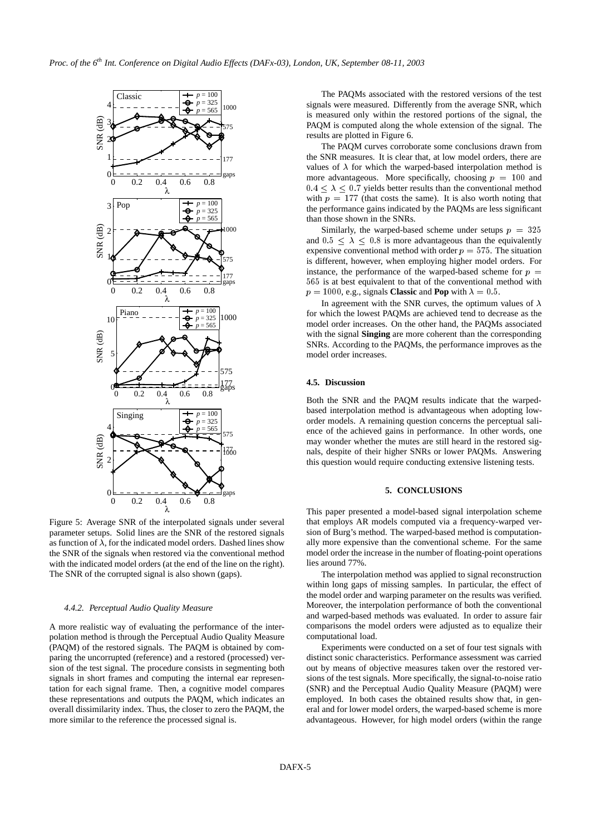

Figure 5: Average SNR of the interpolated signals under several parameter setups. Solid lines are the SNR of the restored signals as function of  $\lambda$ , for the indicated model orders. Dashed lines show the SNR of the signals when restored via the conventional method with the indicated model orders (at the end of the line on the right). The SNR of the corrupted signal is also shown (gaps).

#### *4.4.2. Perceptual Audio Quality Measure*

A more realistic way of evaluating the performance of the interpolation method is through the Perceptual Audio Quality Measure (PAQM) of the restored signals. The PAQM is obtained by comparing the uncorrupted (reference) and a restored (processed) version of the test signal. The procedure consists in segmenting both signals in short frames and computing the internal ear representation for each signal frame. Then, a cognitive model compares these representations and outputs the PAQM, which indicates an overall dissimilarity index. Thus, the closer to zero the PAQM, the more similar to the reference the processed signal is.

The PAQMs associated with the restored versions of the test signals were measured. Differently from the average SNR, which is measured only within the restored portions of the signal, the PAQM is computed along the whole extension of the signal. The results are plotted in Figure 6.

The PAQM curves corroborate some conclusions drawn from the SNR measures. It is clear that, at low model orders, there are values of  $\lambda$  for which the warped-based interpolation method is more advantageous. More specifically, choosing  $p = 100$  and  $0.4 \leq \lambda \leq 0.7$  yields better results than the conventional method with  $p = 177$  (that costs the same). It is also worth noting that the performance gains indicated by the PAQMs are less significant than those shown in the SNRs.

Similarly, the warped-based scheme under setups  $p = 325$ and  $0.5 \leq \lambda \leq 0.8$  is more advantageous than the equivalently expensive conventional method with order  $p = 575$ . The situation is different, however, when employing higher model orders. For instance, the performance of the warped-based scheme for  $p =$  $565$  is at best equivalent to that of the conventional method with  $p = 1000$ , e.g., signals **Classic** and **Pop** with  $\lambda = 0.5$ .

In agreement with the SNR curves, the optimum values of  $\lambda$ for which the lowest PAQMs are achieved tend to decrease as the model order increases. On the other hand, the PAQMs associated with the signal **Singing** are more coherent than the corresponding SNRs. According to the PAQMs, the performance improves as the model order increases.

## **4.5. Discussion**

Both the SNR and the PAQM results indicate that the warpedbased interpolation method is advantageous when adopting loworder models. A remaining question concerns the perceptual salience of the achieved gains in performance. In other words, one may wonder whether the mutes are still heard in the restored signals, despite of their higher SNRs or lower PAQMs. Answering this question would require conducting extensive listening tests.

## **5. CONCLUSIONS**

This paper presented a model-based signal interpolation scheme that employs AR models computed via a frequency-warped version of Burg's method. The warped-based method is computationally more expensive than the conventional scheme. For the same model order the increase in the number of floating-point operations lies around 77%.

The interpolation method was applied to signal reconstruction within long gaps of missing samples. In particular, the effect of the model order and warping parameter on the results was verified. Moreover, the interpolation performance of both the conventional and warped-based methods was evaluated. In order to assure fair comparisons the model orders were adjusted as to equalize their computational load.

Experiments were conducted on a set of four test signals with distinct sonic characteristics. Performance assessment was carried out by means of objective measures taken over the restored versions of the test signals. More specifically, the signal-to-noise ratio (SNR) and the Perceptual Audio Quality Measure (PAQM) were employed. In both cases the obtained results show that, in general and for lower model orders, the warped-based scheme is more advantageous. However, for high model orders (within the range